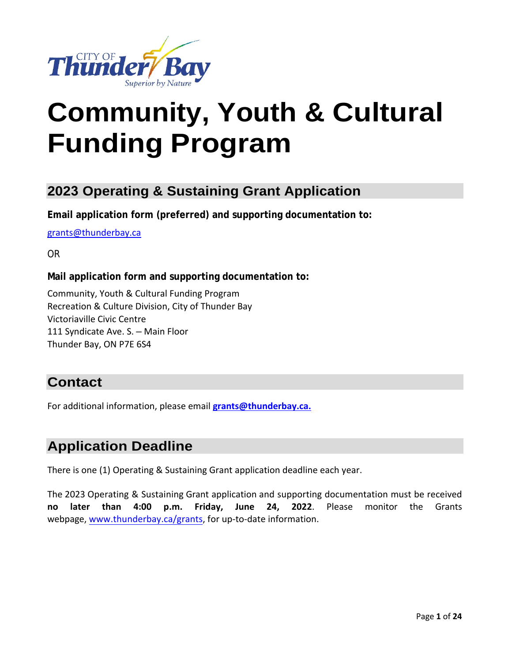

# **Community, Youth & Cultural Funding Program**

## **2023 Operating & Sustaining Grant Application**

**Email application form (preferred) and supporting documentation to:**

[grants@thunderbay.ca](mailto:grants@thunderbay.ca) 

OR

#### **Mail application form and supporting documentation to:**

Community, Youth & Cultural Funding Program Recreation & Culture Division, City of Thunder Bay Victoriaville Civic Centre 111 Syndicate Ave. S. – Main Floor Thunder Bay, ON P7E 6S4

## **Contact**

For additional information, please email **[grants@thunderbay.ca.](mailto:grants@thunderbay.ca.)**

## **Application Deadline**

There is one (1) Operating & Sustaining Grant application deadline each year.

The 2023 Operating & Sustaining Grant application and supporting documentation must be received **no later than 4:00 p.m. Friday, June 24, 2022**. Please monitor the Grants webpage, [www.thunderbay.](http://www.thunderbay.ca/grants)ca/grants, for up-to-date information.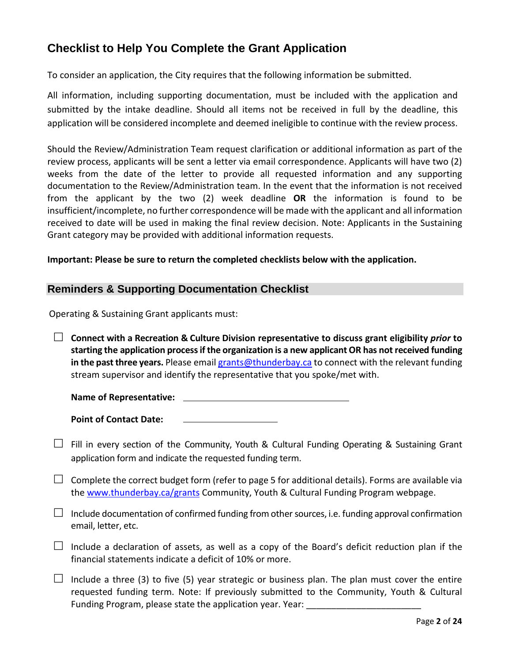## **Checklist to Help You Complete the Grant Application**

To consider an application, the City requires that the following information be submitted.

All information, including supporting documentation, must be included with the application and submitted by the intake deadline. Should all items not be received in full by the deadline, this application will be considered incomplete and deemed ineligible to continue with the review process.

Should the Review/Administration Team request clarification or additional information as part of the review process, applicants will be sent a letter via email correspondence. Applicants will have two (2) weeks from the date of the letter to provide all requested information and any supporting documentation to the Review/Administration team. In the event that the information is not received from the applicant by the two (2) week deadline **OR** the information is found to be insufficient/incomplete, no further correspondence will be made with the applicant and all information received to date will be used in making the final review decision. Note: Applicants in the Sustaining Grant category may be provided with additional information requests.

#### **Important: Please be sure to return the completed checklists below with the application.**

#### **Reminders & Supporting Documentation Checklist**

Operating & Sustaining Grant applicants must:

 **Connect with a Recreation & Culture Division representative to discuss grant eligibility** *prior* **to starting the application processif the organization is a new applicant OR has not received funding**  in the past three years. Please email [grants@thunderbay.ca](mailto:grants@thunderbay.ca) to connect with the relevant funding stream supervisor and identify the representative that you spoke/met with.

**Name of Representative:**

**Point of Contact Date:**

- $\Box$  Fill in every section of the Community, Youth & Cultural Funding Operating & Sustaining Grant application form and indicate the requested funding term.
- $\Box$  Complete the correct budget form (refer to page 5 for additional details). Forms are available via the [www.thunderbay.ca/grants](http://www.thunderbay.ca/grants) Community, Youth & Cultural Funding Program webpage.
- $\Box$  Include documentation of confirmed funding from other sources, i.e. funding approval confirmation email, letter, etc.
- $\Box$  Include a declaration of assets, as well as a copy of the Board's deficit reduction plan if the financial statements indicate a deficit of 10% or more.
- $\Box$  Include a three (3) to five (5) year strategic or business plan. The plan must cover the entire requested funding term. Note: If previously submitted to the Community, Youth & Cultural Funding Program, please state the application year. Year: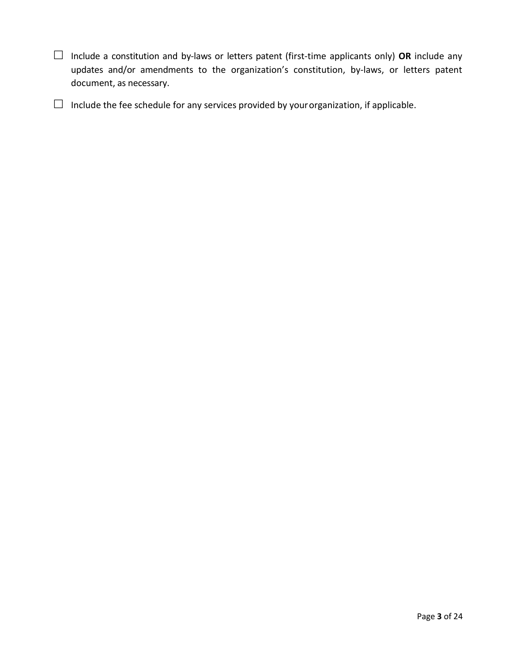Include a constitution and by-laws or letters patent (first-time applicants only) **OR** include any updates and/or amendments to the organization's constitution, by-laws, or letters patent document, as necessary.

 $\Box$  Include the fee schedule for any services provided by your organization, if applicable.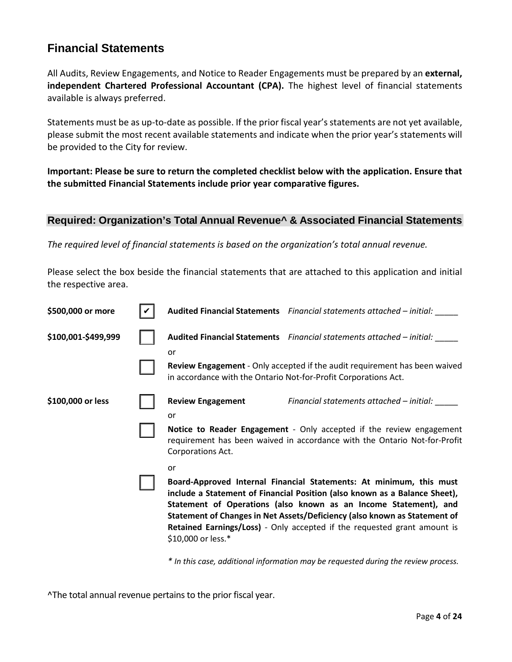## **Financial Statements**

All Audits, Review Engagements, and Notice to Reader Engagements must be prepared by an **external, independent Chartered Professional Accountant (CPA).** The highest level of financial statements available is always preferred.

Statements must be as up-to-date as possible. If the prior fiscal year's statements are not yet available, please submit the most recent available statements and indicate when the prior year's statements will be provided to the City for review.

**Important: Please be sure to return the completed checklist below with the application. Ensure that the submitted Financial Statements include prior year comparative figures.**

#### **Required: Organization's Total Annual Revenue^ & Associated Financial Statements**

*The required level of financial statements is based on the organization's total annual revenue.*

Please select the box beside the financial statements that are attached to this application and initial the respective area.

| \$500,000 or more   |                                | Audited Financial Statements Financial statements attached - initial:                                                                                                                                                                                                                                                                                                          |
|---------------------|--------------------------------|--------------------------------------------------------------------------------------------------------------------------------------------------------------------------------------------------------------------------------------------------------------------------------------------------------------------------------------------------------------------------------|
| \$100,001-\$499,999 | or                             | Audited Financial Statements Financial statements attached - initial:                                                                                                                                                                                                                                                                                                          |
|                     |                                | Review Engagement - Only accepted if the audit requirement has been waived<br>in accordance with the Ontario Not-for-Profit Corporations Act.                                                                                                                                                                                                                                  |
| \$100,000 or less   | <b>Review Engagement</b><br>or | Financial statements attached – initial:                                                                                                                                                                                                                                                                                                                                       |
|                     | Corporations Act.              | Notice to Reader Engagement - Only accepted if the review engagement<br>requirement has been waived in accordance with the Ontario Not-for-Profit                                                                                                                                                                                                                              |
|                     | or<br>\$10,000 or less.*       | Board-Approved Internal Financial Statements: At minimum, this must<br>include a Statement of Financial Position (also known as a Balance Sheet),<br>Statement of Operations (also known as an Income Statement), and<br>Statement of Changes in Net Assets/Deficiency (also known as Statement of<br>Retained Earnings/Loss) - Only accepted if the requested grant amount is |

*\* In this case, additional information may be requested during the review process.*

^The total annual revenue pertains to the prior fiscal year.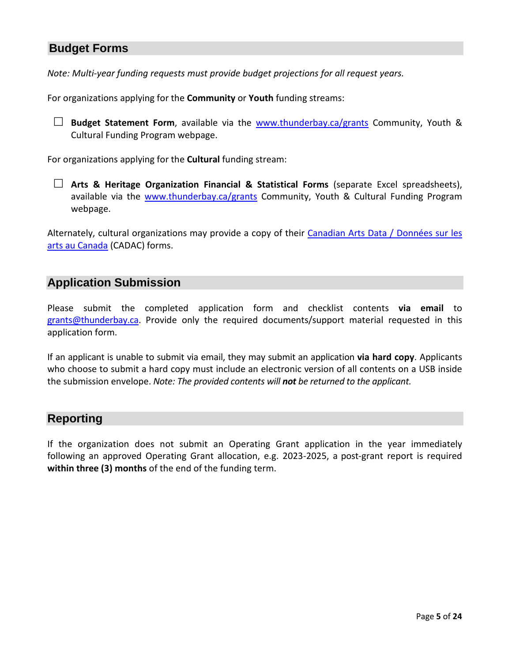## **Budget Forms**

*Note: Multi-year funding requests must provide budget projections for all request years.*

For organizations applying for the **Community** or **Youth** funding streams:

□ **Budget Statement Form**, available via the [www.thunderbay.ca/grants](http://www.thunderbay.ca/grants) Community, Youth & Cultural Funding Program webpage.

For organizations applying for the **Cultural** funding stream:

 **Arts & Heritage Organization Financial & Statistical Forms** (separate Excel spreadsheets), available via the [www.thunderbay.ca/grants](http://www.thunderbay.ca/grants) Community, Youth & Cultural Funding Program webpage.

Alternately, cultural organizations may provide a copy of their [Canadian Arts Data / Données sur les](https://www.thecadac.ca/login.aspx)  [arts au Canada](https://www.thecadac.ca/login.aspx) (CADAC) forms.

#### **Application Submission**

Please submit the completed application form and checklist contents **via email** to [grants@thunderbay.ca.](mailto:grants@thunderbay.ca) Provide only the required documents/support material requested in this application form.

If an applicant is unable to submit via email, they may submit an application **via hard copy**. Applicants who choose to submit a hard copy must include an electronic version of all contents on a USB inside the submission envelope. *Note: The provided contents will not be returned to the applicant.* 

#### **Reporting**

If the organization does not submit an Operating Grant application in the year immediately following an approved Operating Grant allocation, e.g. 2023-2025, a post-grant report is required **within three (3) months** of the end of the funding term.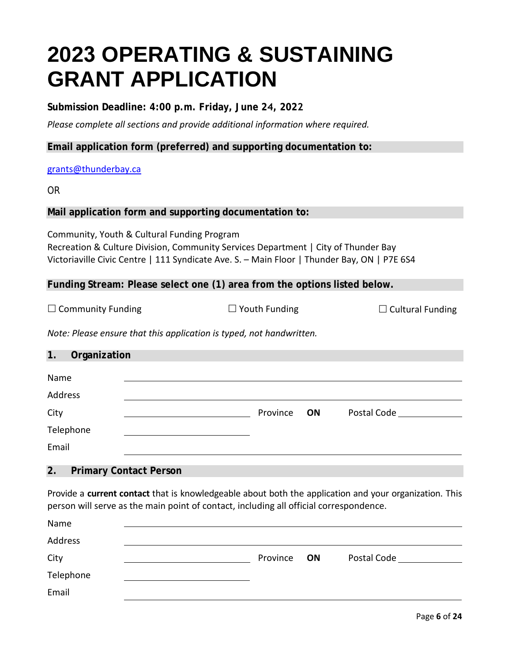## **2023 OPERATING & SUSTAINING GRANT APPLICATION**

**Submission Deadline: 4:00 p.m. Friday, June 24, 2022**

*Please complete all sections and provide additional information where required.* 

**Email application form (preferred) and supporting documentation to:**

#### [grants@thunderbay.ca](mailto:grants@thunderbay.ca)

OR

#### **Mail application form and supporting documentation to:**

Community, Youth & Cultural Funding Program Recreation & Culture Division, Community Services Department | City of Thunder Bay Victoriaville Civic Centre | 111 Syndicate Ave. S. – Main Floor | Thunder Bay, ON | P7E 6S4

**Funding Stream: Please select one (1) area from the options listed below.**

| $\Box$ Community Funding | $\Box$ Youth Funding | $\Box$ Cultural Funding |
|--------------------------|----------------------|-------------------------|
|                          |                      |                         |

*Note: Please ensure that this application is typed, not handwritten.* 

#### **1. Organization**

| Name      |             |             |
|-----------|-------------|-------------|
| Address   |             |             |
| City      | Province ON | Postal Code |
| Telephone |             |             |
| Email     |             |             |

#### **2. Primary Contact Person**

Provide a **current contact** that is knowledgeable about both the application and your organization. This person will serve as the main point of contact, including all official correspondence.

| Name      |          |    |             |
|-----------|----------|----|-------------|
| Address   |          |    |             |
| City      | Province | ON | Postal Code |
| Telephone |          |    |             |
| Email     |          |    |             |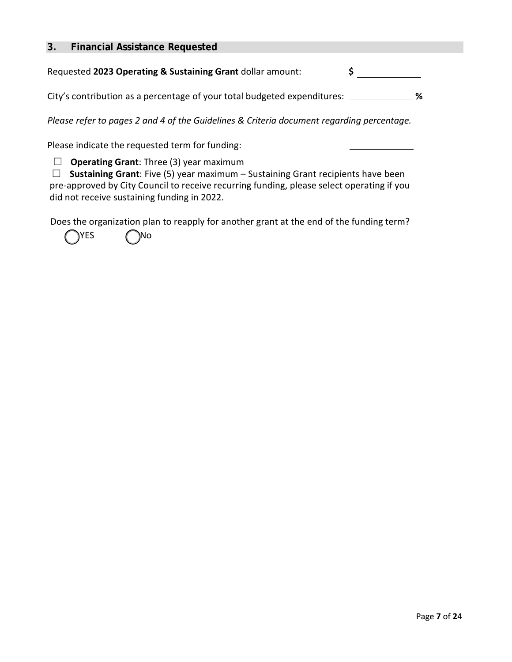#### **3. Financial Assistance Requested**

Requested **2023 Operating & Sustaining Grant** dollar amount: **\$**

**%**  City's contribution as a percentage of your total budgeted expenditures:

*Please refer to pages 2 and 4 of the Guidelines & Criteria document regarding percentage.* 

Please indicate the requested term for funding:

**Operating Grant:** Three (3) year maximum

 **Sustaining Grant**: Five (5) year maximum – Sustaining Grant recipients have been pre-approved by City Council to receive recurring funding, please select operating if you did not receive sustaining funding in 2022.

Does the organization plan to reapply for another grant at the end of the funding term?

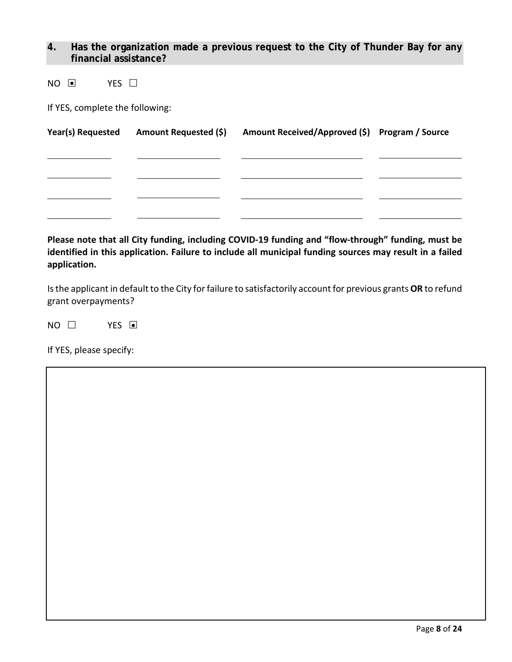#### **4. Has the organization made a previous request to the City of Thunder Bay for any financial assistance?**

 $NO$   $O$   $YES$   $D$ 

If YES, complete the following:

| Year(s) Requested Amount Requested (\$) | Amount Received/Approved (\$) Program / Source |  |
|-----------------------------------------|------------------------------------------------|--|
|                                         |                                                |  |
|                                         |                                                |  |
|                                         |                                                |  |
|                                         |                                                |  |
|                                         |                                                |  |

**Please note that all City funding, including COVID-19 funding and "flow-through" funding, must be identified in this application. Failure to include all municipal funding sources may result in a failed application.**

Is the applicant in default to the City for failure to satisfactorily account for previous grants **OR** to refund grant overpayments?

 $NO \square$  YES  $\blacksquare$ 

If YES, please specify: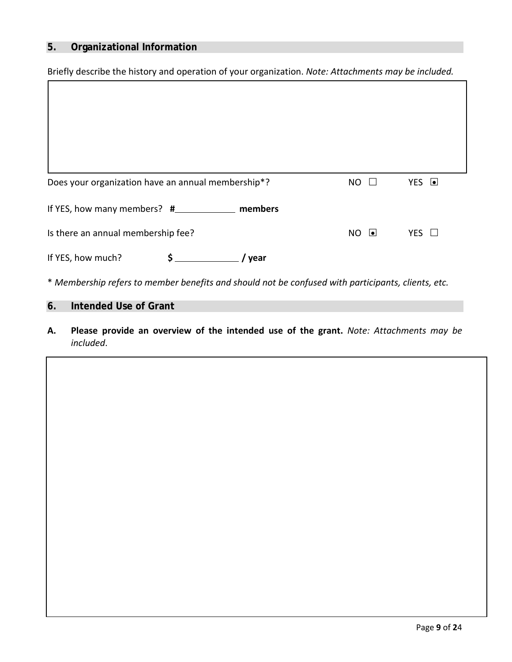#### **5. Organizational Information**

Briefly describe the history and operation of your organization. *Note: Attachments may be included.*

| Does your organization have an annual membership*? | <b>NO</b><br>$\mathsf{L}$ | YES <b>O</b>  |
|----------------------------------------------------|---------------------------|---------------|
|                                                    |                           |               |
| Is there an annual membership fee?                 | $NO$ $\Box$               | YES $\square$ |
| If YES, how much?<br>\$<br>year                    |                           |               |

\* *Membership refers to member benefits and should not be confused with participants, clients, etc.*

#### **6. Intended Use of Grant**

**A. Please provide an overview of the intended use of the grant.** *Note: Attachments may be included*.

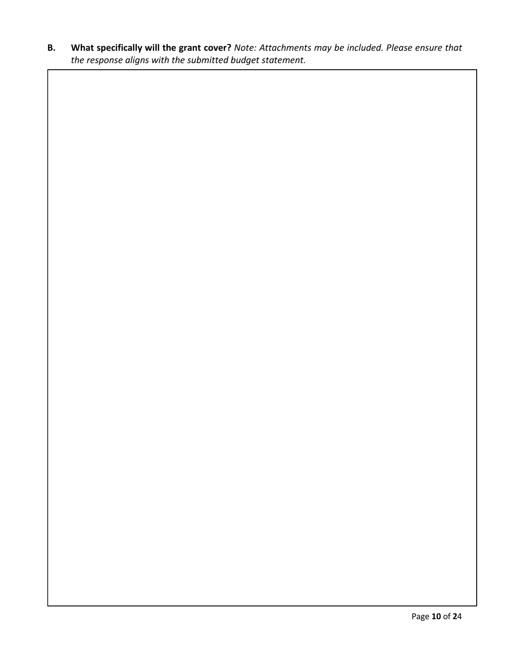**B. What specifically will the grant cover?** *Note: Attachments may be included. Please ensure that the response aligns with the submitted budget statement.*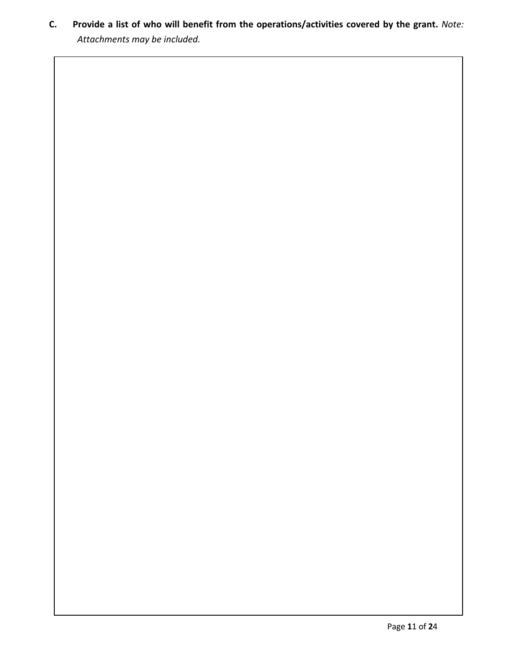**C. Provide a list of who will benefit from the operations/activities covered by the grant.** *Note: Attachments may be included.*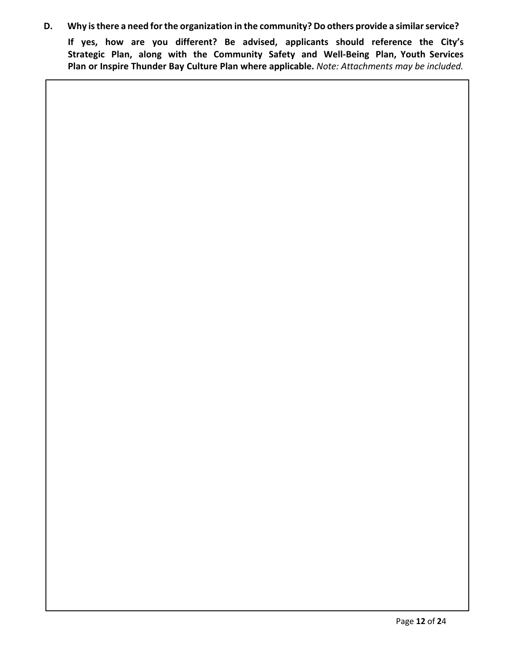**D. Why isthere a need forthe organization in the community? Do others provide a similar service?**

**If yes, how are you different? Be advised, applicants should reference the City's Strategic Plan, along with the Community Safety and Well-Being Plan, Youth Services Plan or Inspire Thunder Bay Culture Plan where applicable.** *Note: Attachments may be included.*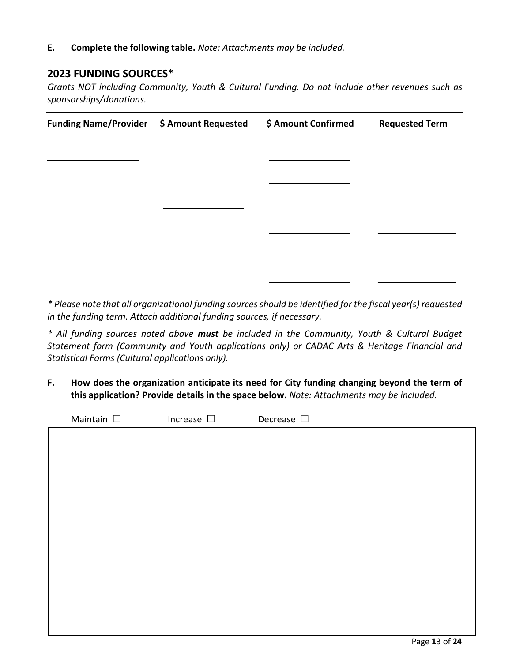**E. Complete the following table.** *Note: Attachments may be included.*

#### **2023 FUNDING SOURCES**\*

*Grants NOT including Community, Youth & Cultural Funding. Do not include other revenues such as sponsorships/donations.* 

| Funding Name/Provider \$ Amount Requested | \$ Amount Confirmed | <b>Requested Term</b> |
|-------------------------------------------|---------------------|-----------------------|
|                                           |                     |                       |
|                                           |                     |                       |
|                                           |                     |                       |
|                                           |                     |                       |
|                                           |                     |                       |
|                                           |                     |                       |

*\* Please note that all organizational funding sources should be identified for the fiscal year(s) requested in the funding term. Attach additional funding sources, if necessary.*

*\* All funding sources noted above must be included in the Community, Youth & Cultural Budget Statement form (Community and Youth applications only) or CADAC Arts & Heritage Financial and Statistical Forms (Cultural applications only).*

**F. How does the organization anticipate its need for City funding changing beyond the term of this application? Provide details in the space below.** *Note: Attachments may be included.*

Maintain  $\square$  Increase  $\square$  Decrease  $\square$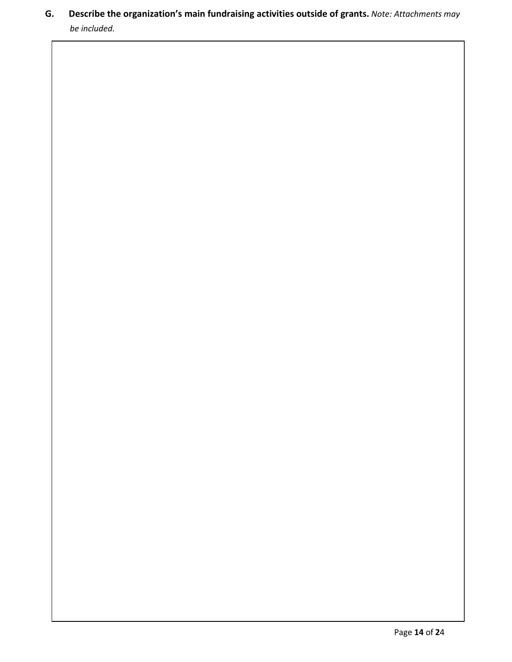**G. Describe the organization's main fundraising activities outside of grants.** *Note: Attachments may be included.*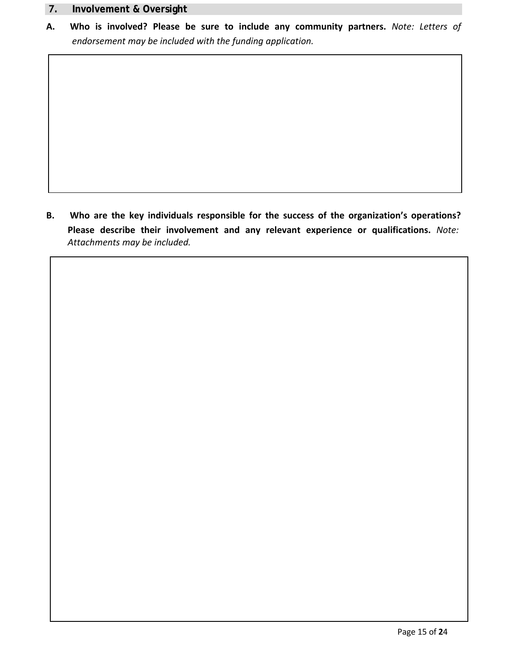#### **7. Involvement & Oversight**

**A. Who is involved? Please be sure to include any community partners.** *Note: Letters of endorsement may be included with the funding application.*

**B. Who are the key individuals responsible for the success of the organization's operations? Please describe their involvement and any relevant experience or qualifications.** *Note: Attachments may be included.*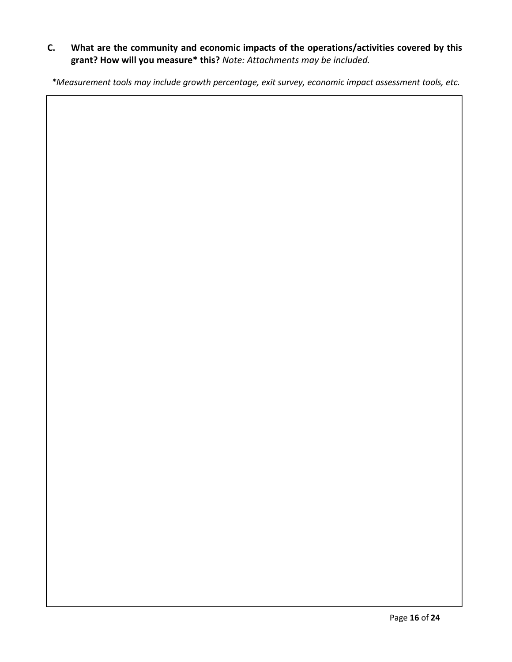#### **C. What are the community and economic impacts of the operations/activities covered by this grant? How will you measure\* this?** *Note: Attachments may be included.*

*\*Measurement tools may include growth percentage, exit survey, economic impact assessment tools, etc.*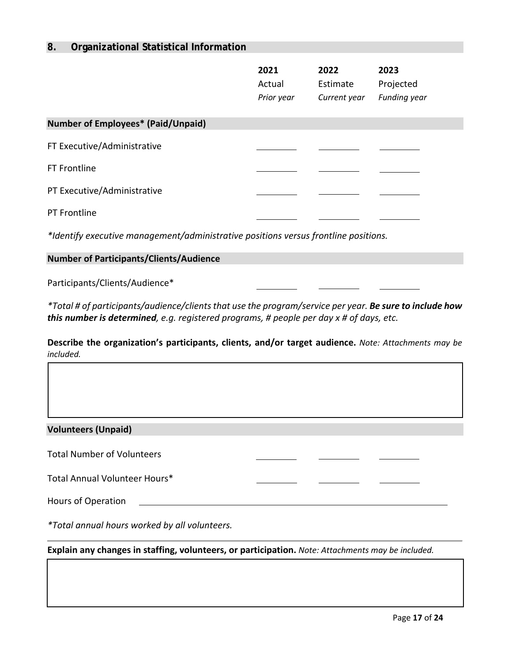#### **8. Organizational Statistical Information**

|                                                                                     | 2021<br>Actual<br>Prior year | 2022<br>Estimate<br>Current year | 2023<br>Projected<br><b>Funding year</b> |  |  |  |  |
|-------------------------------------------------------------------------------------|------------------------------|----------------------------------|------------------------------------------|--|--|--|--|
| <b>Number of Employees* (Paid/Unpaid)</b>                                           |                              |                                  |                                          |  |  |  |  |
| FT Executive/Administrative                                                         |                              |                                  |                                          |  |  |  |  |
| <b>FT Frontline</b>                                                                 |                              |                                  |                                          |  |  |  |  |
| PT Executive/Administrative                                                         |                              |                                  |                                          |  |  |  |  |
| PT Frontline                                                                        |                              |                                  |                                          |  |  |  |  |
| *Identify executive management/administrative positions versus frontline positions. |                              |                                  |                                          |  |  |  |  |
| <b>Number of Participants/Clients/Audience</b>                                      |                              |                                  |                                          |  |  |  |  |
| Participants/Clients/Audience*                                                      |                              |                                  |                                          |  |  |  |  |

*\*Total # of participants/audience/clients that use the program/service per year. Be sure to include how this number is determined, e.g. registered programs, # people per day x # of days, etc.*

**Describe the organization's participants, clients, and/or target audience.** *Note: Attachments may be included.*

#### **Volunteers (Unpaid)**

Total Number of Volunteers

Total Annual Volunteer Hours\*

Hours of Operation

*\*Total annual hours worked by all volunteers.*

**Explain any changes in staffing, volunteers, or participation.** *Note: Attachments may be included.*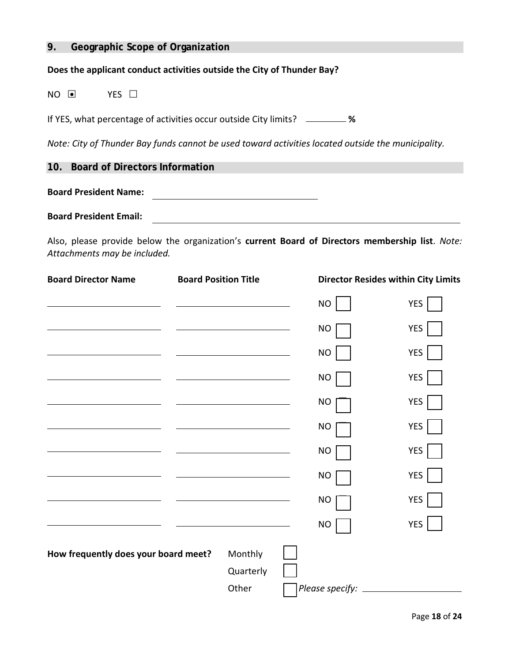#### **9. Geographic Scope of Organization**

#### **Does the applicant conduct activities outside the City of Thunder Bay?**

NO O YES O

If YES, what percentage of activities occur outside City limits? **%** 

*Note: City of Thunder Bay funds cannot be used toward activities located outside the municipality.* 

**10. Board of Directors Information**

**Board President Name:** <u> 1989 - Johann Barbara, martxa alemaniar a</u>

**Board President Email:**

Also, please provide below the organization's **current Board of Directors membership list**. *Note: Attachments may be included.*

| <b>Board Director Name</b>           | <b>Board Position Title</b> |                                                                                                                      |           | <b>Director Resides within City Limits</b> |
|--------------------------------------|-----------------------------|----------------------------------------------------------------------------------------------------------------------|-----------|--------------------------------------------|
|                                      |                             |                                                                                                                      | <b>NO</b> | YES                                        |
|                                      |                             | <u> 1989 - Johann Barn, mars eta bainar eta idazlea (</u>                                                            | NO        | YES                                        |
|                                      |                             | <u> 1989 - Johann Barn, mars ann an t-Amhain Aonaich an t-Aonaich an t-Aonaich ann an t-Aonaich ann an t-Aonaich</u> | <b>NO</b> | YES                                        |
|                                      |                             | the control of the control of the control of the control of the control of the control of                            | NO        | YES                                        |
|                                      |                             |                                                                                                                      | <b>NO</b> | <b>YES</b>                                 |
|                                      |                             |                                                                                                                      | NO        | YES                                        |
|                                      |                             |                                                                                                                      | <b>NO</b> | YES                                        |
|                                      |                             |                                                                                                                      | <b>NO</b> | <b>YES</b>                                 |
|                                      |                             | the control of the control of the control of the control of the control of the control of                            | <b>NO</b> | <b>YES</b>                                 |
|                                      |                             | the control of the control of the control of the control of                                                          | <b>NO</b> | <b>YES</b>                                 |
| How frequently does your board meet? |                             | Monthly                                                                                                              |           |                                            |
|                                      |                             | Quarterly                                                                                                            |           |                                            |
|                                      |                             | Other                                                                                                                |           |                                            |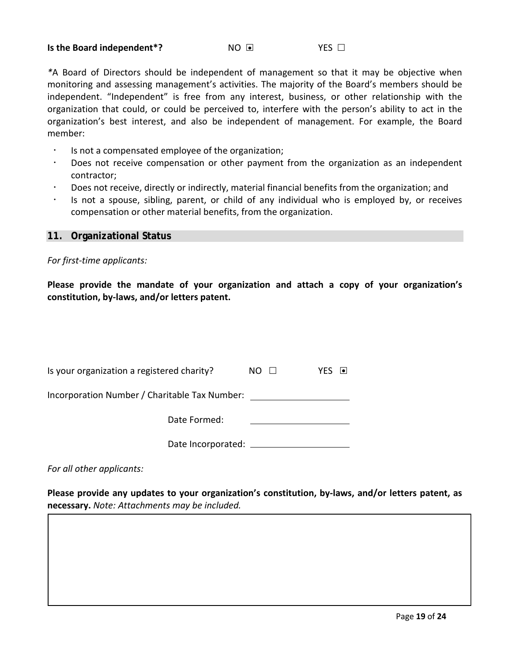#### **Is the Board independent<sup>\*</sup>?** NO **O** NO **O** YES □

*\**A Board of Directors should be independent of management so that it may be objective when monitoring and assessing management's activities. The majority of the Board's members should be independent. "Independent" is free from any interest, business, or other relationship with the organization that could, or could be perceived to, interfere with the person's ability to act in the organization's best interest, and also be independent of management. For example, the Board member:

- Is not a compensated employee of the organization;
- Does not receive compensation or other payment from the organization as an independent contractor;
- Does not receive, directly or indirectly, material financial benefits from the organization; and
- Is not a spouse, sibling, parent, or child of any individual who is employed by, or receives compensation or other material benefits, from the organization.

#### **11. Organizational Status**

*For first-time applicants:* 

**Please provide the mandate of your organization and attach a copy of your organization's constitution, by-laws, and/or letters patent.**

| Is your organization a registered charity?    | NO. | ⊣ ● I<br>YFS |
|-----------------------------------------------|-----|--------------|
| Incorporation Number / Charitable Tax Number: |     |              |
| Date Formed:                                  |     |              |
| Date Incorporated:                            |     |              |

*For all other applicants:* 

**Please provide any updates to your organization's constitution, by-laws, and/or letters patent, as necessary.** *Note: Attachments may be included.*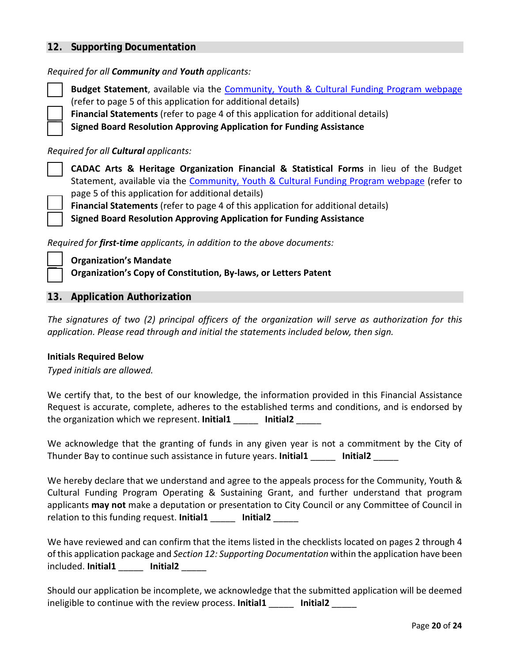#### **12. Supporting Documentation**

*Required for all Community and Youth applicants:* 

 **Budget Statement**, available via the [Community, Youth & Cultural Funding Program webpage](https://www.thunderbay.ca/en/city-hall/community-youth-and-cultural-funding.aspx) (refer to page 5 of this application for additional details)

**Financial Statements** (refer to page 4 of this application for additional details)

**Signed Board Resolution Approving Application for Funding Assistance**

#### *Required for all Cultural applicants:*

 **CADAC Arts & Heritage Organization Financial & Statistical Forms** in lieu of the Budget Statement, available via the [Community, Youth & Cultural Funding Program webpage](https://www.thunderbay.ca/en/city-hall/community-youth-and-cultural-funding.aspx) (refer to page 5 of this application for additional details)

**Financial Statements** (refer to page 4 of this application for additional details)

**Signed Board Resolution Approving Application for Funding Assistance**

*Required for first-time applicants, in addition to the above documents:* 

 **Organization's Mandate Organization's Copy of Constitution, By-laws, or Letters Patent**

#### **13. Application Authorization**

*The signatures of two (2) principal officers of the organization will serve as authorization for this application. Please read through and initial the statements included below, then sign.* 

#### **Initials Required Below**

*Typed initials are allowed.* 

We certify that, to the best of our knowledge, the information provided in this Financial Assistance Request is accurate, complete, adheres to the established terms and conditions, and is endorsed by the organization which we represent. **Initial1** \_\_\_\_\_ **Initial2** \_\_\_\_\_

We acknowledge that the granting of funds in any given year is not a commitment by the City of Thunder Bay to continue such assistance in future years. **Initial1** \_\_\_\_\_ **Initial2** \_\_\_\_\_

We hereby declare that we understand and agree to the appeals process for the Community, Youth & Cultural Funding Program Operating & Sustaining Grant, and further understand that program applicants **may not** make a deputation or presentation to City Council or any Committee of Council in relation to this funding request. **Initial1** \_\_\_\_\_ **Initial2** \_\_\_\_\_

We have reviewed and can confirm that the items listed in the checklists located on pages 2 through 4 of this application package and *Section 12: Supporting Documentation* within the application have been included. **Initial1** \_\_\_\_\_ **Initial2** \_\_\_\_\_

Should our application be incomplete, we acknowledge that the submitted application will be deemed ineligible to continue with the review process. **Initial1** \_\_\_\_\_ **Initial2** \_\_\_\_\_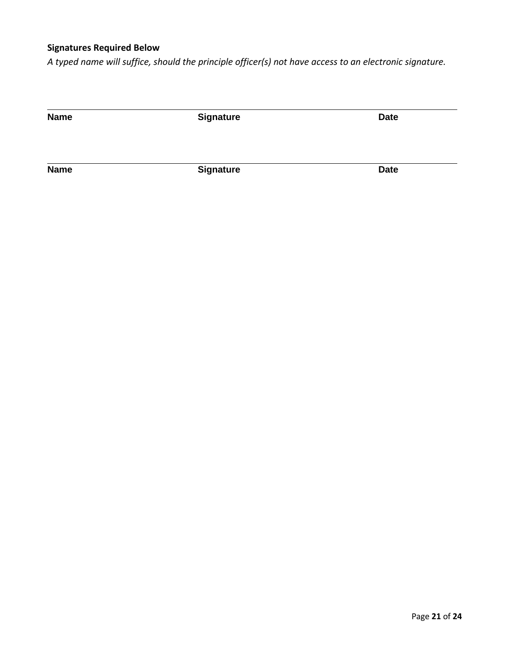#### **Signatures Required Below**

*A typed name will suffice, should the principle officer(s) not have access to an electronic signature.*

**Name Date Signature Date** 

**Name Date Date**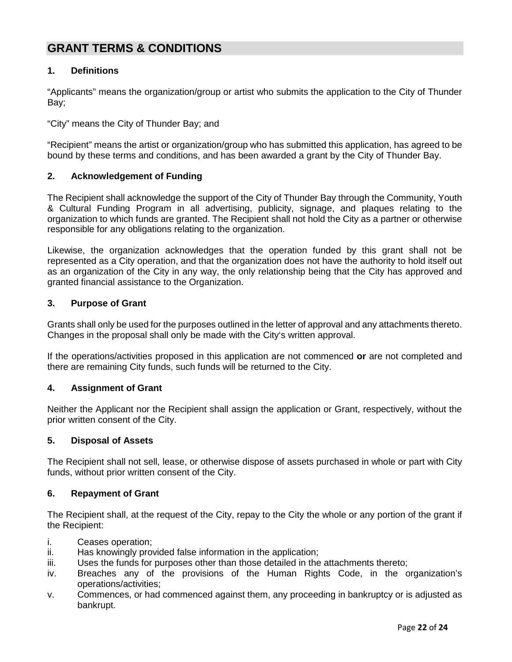## **GRANT TERMS & CONDITIONS**

#### **1. Definitions**

"Applicants" means the organization/group or artist who submits the application to the City of Thunder Bay;

"City" means the City of Thunder Bay; and

"Recipient" means the artist or organization/group who has submitted this application, has agreed to be bound by these terms and conditions, and has been awarded a grant by the City of Thunder Bay.

#### **2. Acknowledgement of Funding**

The Recipient shall acknowledge the support of the City of Thunder Bay through the Community, Youth & Cultural Funding Program in all advertising, publicity, signage, and plaques relating to the organization to which funds are granted. The Recipient shall not hold the City as a partner or otherwise responsible for any obligations relating to the organization.

Likewise, the organization acknowledges that the operation funded by this grant shall not be represented as a City operation, and that the organization does not have the authority to hold itself out as an organization of the City in any way, the only relationship being that the City has approved and granted financial assistance to the Organization.

#### **3. Purpose of Grant**

Grants shall only be used for the purposes outlined in the letter of approval and any attachments thereto. Changes in the proposal shall only be made with the City's written approval.

If the operations/activities proposed in this application are not commenced **or** are not completed and there are remaining City funds, such funds will be returned to the City.

#### **4. Assignment of Grant**

Neither the Applicant nor the Recipient shall assign the application or Grant, respectively, without the prior written consent of the City.

#### **5. Disposal of Assets**

The Recipient shall not sell, lease, or otherwise dispose of assets purchased in whole or part with City funds, without prior written consent of the City.

#### **6. Repayment of Grant**

The Recipient shall, at the request of the City, repay to the City the whole or any portion of the grant if the Recipient:

- i. Ceases operation;
- ii. Has knowingly provided false information in the application;
- iii. Uses the funds for purposes other than those detailed in the attachments thereto;
- iv. Breaches any of the provisions of the Human Rights Code, in the organization's operations/activities;
- v. Commences, or had commenced against them, any proceeding in bankruptcy or is adjusted as bankrupt.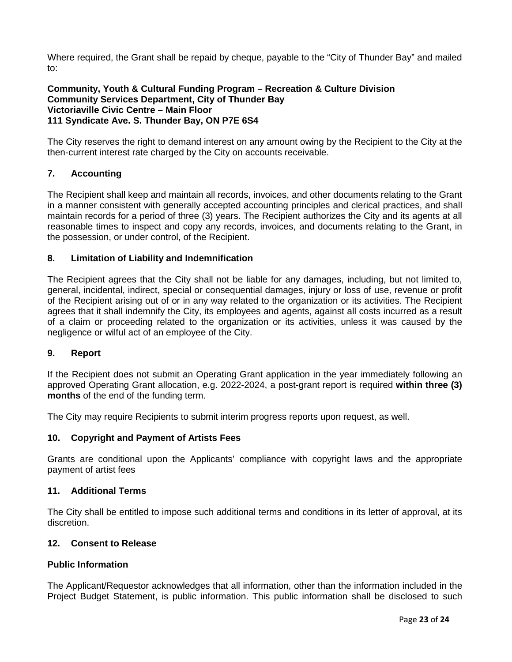Where required, the Grant shall be repaid by cheque, payable to the "City of Thunder Bay" and mailed to:

#### **Community, Youth & Cultural Funding Program – Recreation & Culture Division Community Services Department, City of Thunder Bay Victoriaville Civic Centre – Main Floor 111 Syndicate Ave. S. Thunder Bay, ON P7E 6S4**

The City reserves the right to demand interest on any amount owing by the Recipient to the City at the then-current interest rate charged by the City on accounts receivable.

#### **7. Accounting**

The Recipient shall keep and maintain all records, invoices, and other documents relating to the Grant in a manner consistent with generally accepted accounting principles and clerical practices, and shall maintain records for a period of three (3) years. The Recipient authorizes the City and its agents at all reasonable times to inspect and copy any records, invoices, and documents relating to the Grant, in the possession, or under control, of the Recipient.

#### **8. Limitation of Liability and Indemnification**

The Recipient agrees that the City shall not be liable for any damages, including, but not limited to, general, incidental, indirect, special or consequential damages, injury or loss of use, revenue or profit of the Recipient arising out of or in any way related to the organization or its activities. The Recipient agrees that it shall indemnify the City, its employees and agents, against all costs incurred as a result of a claim or proceeding related to the organization or its activities, unless it was caused by the negligence or wilful act of an employee of the City.

#### **9. Report**

If the Recipient does not submit an Operating Grant application in the year immediately following an approved Operating Grant allocation, e.g. 2022-2024, a post-grant report is required **within three (3) months** of the end of the funding term.

The City may require Recipients to submit interim progress reports upon request, as well.

#### **10. Copyright and Payment of Artists Fees**

Grants are conditional upon the Applicants' compliance with copyright laws and the appropriate payment of artist fees

#### **11. Additional Terms**

The City shall be entitled to impose such additional terms and conditions in its letter of approval, at its discretion.

#### **12. Consent to Release**

#### **Public Information**

The Applicant/Requestor acknowledges that all information, other than the information included in the Project Budget Statement, is public information. This public information shall be disclosed to such